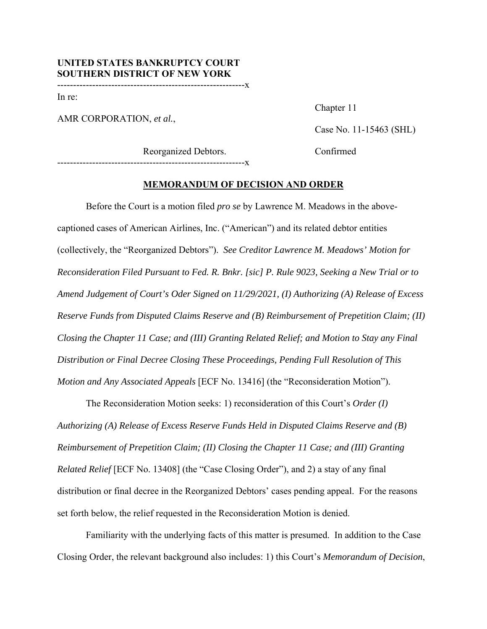-----------------------------------------------------------x

In re:

AMR CORPORATION, *et al.*,

Chapter 11

Case No. 11-15463 (SHL)

Reorganized Debtors. Confirmed

# -----------------------------------------------------------x

### **MEMORANDUM OF DECISION AND ORDER**

Before the Court is a motion filed *pro se* by Lawrence M. Meadows in the abovecaptioned cases of American Airlines, Inc. ("American") and its related debtor entities (collectively, the "Reorganized Debtors"). *See Creditor Lawrence M. Meadows' Motion for Reconsideration Filed Pursuant to Fed. R. Bnkr. [sic] P. Rule 9023, Seeking a New Trial or to Amend Judgement of Court's Oder Signed on 11/29/2021, (I) Authorizing (A) Release of Excess Reserve Funds from Disputed Claims Reserve and (B) Reimbursement of Prepetition Claim; (II) Closing the Chapter 11 Case; and (III) Granting Related Relief; and Motion to Stay any Final Distribution or Final Decree Closing These Proceedings, Pending Full Resolution of This Motion and Any Associated Appeals* [ECF No. 13416] (the "Reconsideration Motion").

The Reconsideration Motion seeks: 1) reconsideration of this Court's *Order (I) Authorizing (A) Release of Excess Reserve Funds Held in Disputed Claims Reserve and (B) Reimbursement of Prepetition Claim; (II) Closing the Chapter 11 Case; and (III) Granting Related Relief* [ECF No. 13408] (the "Case Closing Order"), and 2) a stay of any final distribution or final decree in the Reorganized Debtors' cases pending appeal. For the reasons set forth below, the relief requested in the Reconsideration Motion is denied.

 Familiarity with the underlying facts of this matter is presumed. In addition to the Case Closing Order, the relevant background also includes: 1) this Court's *Memorandum of Decision*,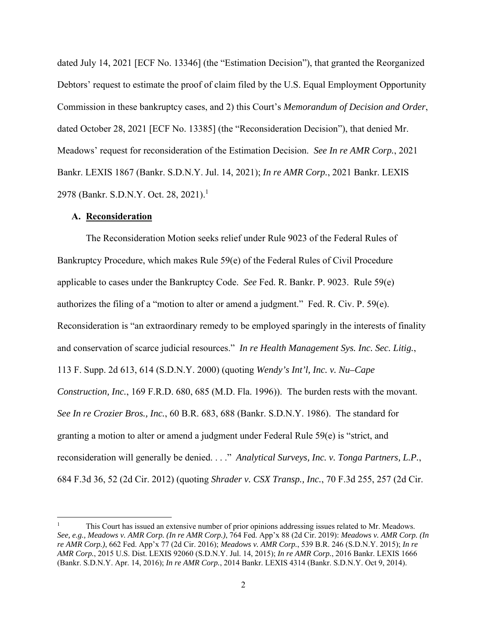dated July 14, 2021 [ECF No. 13346] (the "Estimation Decision"), that granted the Reorganized Debtors' request to estimate the proof of claim filed by the U.S. Equal Employment Opportunity Commission in these bankruptcy cases, and 2) this Court's *Memorandum of Decision and Order*, dated October 28, 2021 [ECF No. 13385] (the "Reconsideration Decision"), that denied Mr. Meadows' request for reconsideration of the Estimation Decision. *See In re AMR Corp.*, 2021 Bankr. LEXIS 1867 (Bankr. S.D.N.Y. Jul. 14, 2021); *In re AMR Corp.*, 2021 Bankr. LEXIS 2978 (Bankr. S.D.N.Y. Oct. 28, 2021).<sup>1</sup>

### **A. Reconsideration**

The Reconsideration Motion seeks relief under Rule 9023 of the Federal Rules of Bankruptcy Procedure, which makes Rule 59(e) of the Federal Rules of Civil Procedure applicable to cases under the Bankruptcy Code. *See* Fed. R. Bankr. P. 9023. Rule 59(e) authorizes the filing of a "motion to alter or amend a judgment." Fed. R. Civ. P.  $59(e)$ . Reconsideration is "an extraordinary remedy to be employed sparingly in the interests of finality and conservation of scarce judicial resources." *In re Health Management Sys. Inc. Sec. Litig.*, 113 F. Supp. 2d 613, 614 (S.D.N.Y. 2000) (quoting *Wendy's Int'l, Inc. v. Nu–Cape Construction, Inc.*, 169 F.R.D. 680, 685 (M.D. Fla. 1996)). The burden rests with the movant. *See In re Crozier Bros., Inc.*, 60 B.R. 683, 688 (Bankr. S.D.N.Y. 1986). The standard for granting a motion to alter or amend a judgment under Federal Rule 59(e) is "strict, and reconsideration will generally be denied. . . ." *Analytical Surveys, Inc. v. Tonga Partners, L.P.*, 684 F.3d 36, 52 (2d Cir. 2012) (quoting *Shrader v. CSX Transp., Inc.*, 70 F.3d 255, 257 (2d Cir.

<sup>1</sup> This Court has issued an extensive number of prior opinions addressing issues related to Mr. Meadows. *See, e.g., Meadows v. AMR Corp. (In re AMR Corp.)*, 764 Fed. App'x 88 (2d Cir. 2019): *Meadows v. AMR Corp. (In re AMR Corp.)*, 662 Fed. App'x 77 (2d Cir. 2016); *Meadows v. AMR Corp.*, 539 B.R. 246 (S.D.N.Y. 2015); *In re AMR Corp.*, 2015 U.S. Dist. LEXIS 92060 (S.D.N.Y. Jul. 14, 2015); *In re AMR Corp.*, 2016 Bankr. LEXIS 1666 (Bankr. S.D.N.Y. Apr. 14, 2016); *In re AMR Corp.*, 2014 Bankr. LEXIS 4314 (Bankr. S.D.N.Y. Oct 9, 2014).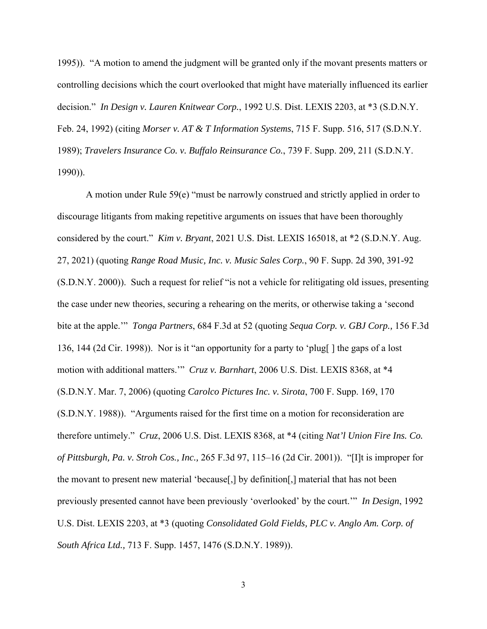1995)). "A motion to amend the judgment will be granted only if the movant presents matters or controlling decisions which the court overlooked that might have materially influenced its earlier decision." *In Design v. Lauren Knitwear Corp.*, 1992 U.S. Dist. LEXIS 2203, at \*3 (S.D.N.Y. Feb. 24, 1992) (citing *Morser v. AT & T Information Systems*, 715 F. Supp. 516, 517 (S.D.N.Y. 1989); *Travelers Insurance Co. v. Buffalo Reinsurance Co.*, 739 F. Supp. 209, 211 (S.D.N.Y. 1990)).

A motion under Rule 59(e) "must be narrowly construed and strictly applied in order to discourage litigants from making repetitive arguments on issues that have been thoroughly considered by the court." *Kim v. Bryant*, 2021 U.S. Dist. LEXIS 165018, at \*2 (S.D.N.Y. Aug. 27, 2021) (quoting *Range Road Music, Inc. v. Music Sales Corp.*, 90 F. Supp. 2d 390, 391-92 (S.D.N.Y. 2000)). Such a request for relief "is not a vehicle for relitigating old issues, presenting the case under new theories, securing a rehearing on the merits, or otherwise taking a 'second bite at the apple.'" *Tonga Partners*, 684 F.3d at 52 (quoting *Sequa Corp. v. GBJ Corp.,* 156 F.3d 136, 144 (2d Cir. 1998)). Nor is it "an opportunity for a party to 'plug[ ] the gaps of a lost motion with additional matters.'" *Cruz v. Barnhart*, 2006 U.S. Dist. LEXIS 8368, at \*4 (S.D.N.Y. Mar. 7, 2006) (quoting *Carolco Pictures Inc. v. Sirota*, 700 F. Supp. 169, 170 (S.D.N.Y. 1988)). "Arguments raised for the first time on a motion for reconsideration are therefore untimely." *Cruz*, 2006 U.S. Dist. LEXIS 8368, at \*4 (citing *Nat'l Union Fire Ins. Co. of Pittsburgh, Pa. v. Stroh Cos., Inc.,* 265 F.3d 97, 115–16 (2d Cir. 2001)). "[I]t is improper for the movant to present new material 'because[,] by definition[,] material that has not been previously presented cannot have been previously 'overlooked' by the court.'" *In Design*, 1992 U.S. Dist. LEXIS 2203, at \*3 (quoting *Consolidated Gold Fields, PLC v. Anglo Am. Corp. of South Africa Ltd.,* 713 F. Supp. 1457, 1476 (S.D.N.Y. 1989)).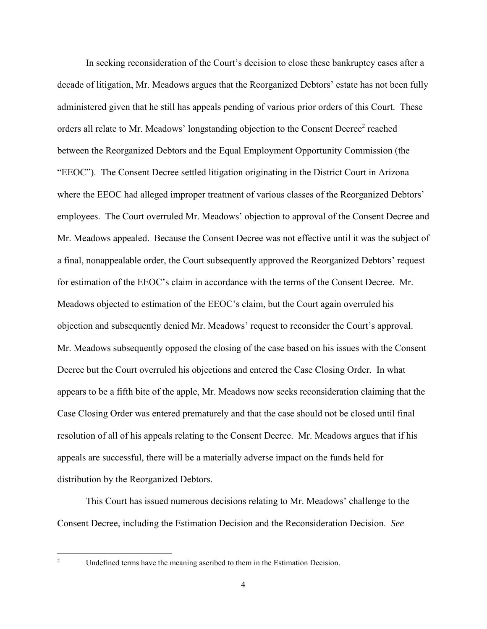In seeking reconsideration of the Court's decision to close these bankruptcy cases after a decade of litigation, Mr. Meadows argues that the Reorganized Debtors' estate has not been fully administered given that he still has appeals pending of various prior orders of this Court. These orders all relate to Mr. Meadows' longstanding objection to the Consent Decree<sup>2</sup> reached between the Reorganized Debtors and the Equal Employment Opportunity Commission (the "EEOC"). The Consent Decree settled litigation originating in the District Court in Arizona where the EEOC had alleged improper treatment of various classes of the Reorganized Debtors' employees. The Court overruled Mr. Meadows' objection to approval of the Consent Decree and Mr. Meadows appealed. Because the Consent Decree was not effective until it was the subject of a final, nonappealable order, the Court subsequently approved the Reorganized Debtors' request for estimation of the EEOC's claim in accordance with the terms of the Consent Decree. Mr. Meadows objected to estimation of the EEOC's claim, but the Court again overruled his objection and subsequently denied Mr. Meadows' request to reconsider the Court's approval. Mr. Meadows subsequently opposed the closing of the case based on his issues with the Consent Decree but the Court overruled his objections and entered the Case Closing Order. In what appears to be a fifth bite of the apple, Mr. Meadows now seeks reconsideration claiming that the Case Closing Order was entered prematurely and that the case should not be closed until final resolution of all of his appeals relating to the Consent Decree. Mr. Meadows argues that if his appeals are successful, there will be a materially adverse impact on the funds held for distribution by the Reorganized Debtors.

This Court has issued numerous decisions relating to Mr. Meadows' challenge to the Consent Decree, including the Estimation Decision and the Reconsideration Decision. *See* 

Undefined terms have the meaning ascribed to them in the Estimation Decision.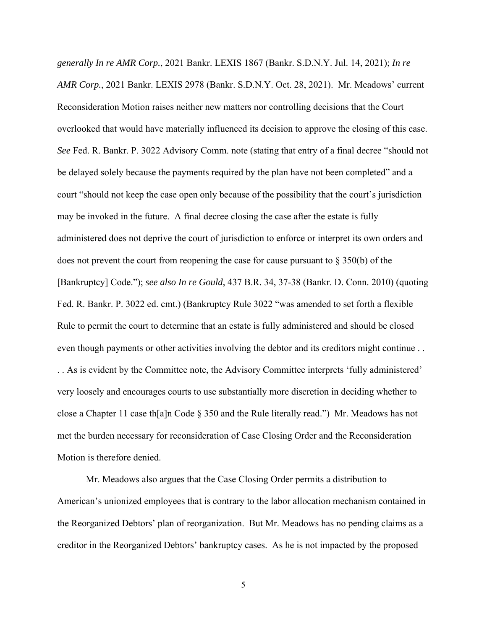*generally In re AMR Corp.*, 2021 Bankr. LEXIS 1867 (Bankr. S.D.N.Y. Jul. 14, 2021); *In re AMR Corp.*, 2021 Bankr. LEXIS 2978 (Bankr. S.D.N.Y. Oct. 28, 2021). Mr. Meadows' current Reconsideration Motion raises neither new matters nor controlling decisions that the Court overlooked that would have materially influenced its decision to approve the closing of this case. *See* Fed. R. Bankr. P. 3022 Advisory Comm. note (stating that entry of a final decree "should not be delayed solely because the payments required by the plan have not been completed" and a court "should not keep the case open only because of the possibility that the court's jurisdiction may be invoked in the future. A final decree closing the case after the estate is fully administered does not deprive the court of jurisdiction to enforce or interpret its own orders and does not prevent the court from reopening the case for cause pursuant to  $\S 350(b)$  of the [Bankruptcy] Code."); *see also In re Gould*, 437 B.R. 34, 37-38 (Bankr. D. Conn. 2010) (quoting Fed. R. Bankr. P. 3022 ed. cmt.) (Bankruptcy Rule 3022 "was amended to set forth a flexible Rule to permit the court to determine that an estate is fully administered and should be closed even though payments or other activities involving the debtor and its creditors might continue . . . . As is evident by the Committee note, the Advisory Committee interprets 'fully administered' very loosely and encourages courts to use substantially more discretion in deciding whether to close a Chapter 11 case th[a]n Code § 350 and the Rule literally read.") Mr. Meadows has not met the burden necessary for reconsideration of Case Closing Order and the Reconsideration Motion is therefore denied.

Mr. Meadows also argues that the Case Closing Order permits a distribution to American's unionized employees that is contrary to the labor allocation mechanism contained in the Reorganized Debtors' plan of reorganization. But Mr. Meadows has no pending claims as a creditor in the Reorganized Debtors' bankruptcy cases. As he is not impacted by the proposed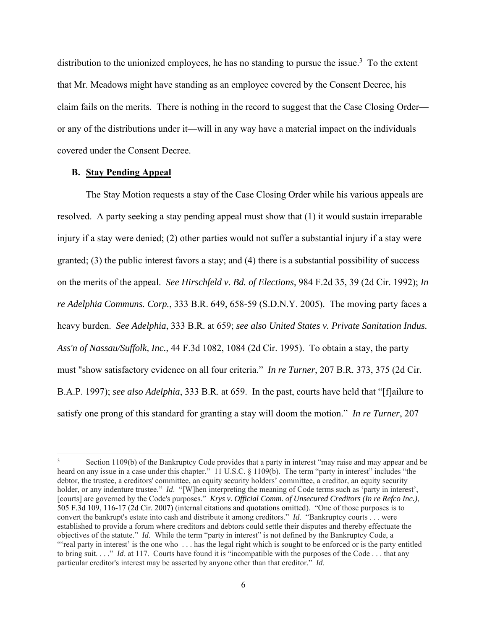distribution to the unionized employees, he has no standing to pursue the issue.<sup>3</sup> To the extent that Mr. Meadows might have standing as an employee covered by the Consent Decree, his claim fails on the merits. There is nothing in the record to suggest that the Case Closing Order or any of the distributions under it—will in any way have a material impact on the individuals covered under the Consent Decree.

## **B. Stay Pending Appeal**

The Stay Motion requests a stay of the Case Closing Order while his various appeals are resolved. A party seeking a stay pending appeal must show that (1) it would sustain irreparable injury if a stay were denied; (2) other parties would not suffer a substantial injury if a stay were granted; (3) the public interest favors a stay; and (4) there is a substantial possibility of success on the merits of the appeal. *See Hirschfeld v. Bd. of Elections*, 984 F.2d 35, 39 (2d Cir. 1992); *In re Adelphia Communs. Corp.*, 333 B.R. 649, 658-59 (S.D.N.Y. 2005). The moving party faces a heavy burden. *See Adelphia*, 333 B.R. at 659; *see also United States v. Private Sanitation Indus. Ass'n of Nassau/Suffolk, Inc.*, 44 F.3d 1082, 1084 (2d Cir. 1995). To obtain a stay, the party must "show satisfactory evidence on all four criteria." *In re Turner*, 207 B.R. 373, 375 (2d Cir. B.A.P. 1997); *see also Adelphia*, 333 B.R. at 659. In the past, courts have held that "[f]ailure to satisfy one prong of this standard for granting a stay will doom the motion." *In re Turner*, 207

<sup>3</sup> Section 1109(b) of the Bankruptcy Code provides that a party in interest "may raise and may appear and be heard on any issue in a case under this chapter." 11 U.S.C. § 1109(b). The term "party in interest" includes "the debtor, the trustee, a creditors' committee, an equity security holders' committee, a creditor, an equity security holder, or any indenture trustee." *Id.* "[W]hen interpreting the meaning of Code terms such as 'party in interest', [courts] are governed by the Code's purposes." *Krys v. Official Comm. of Unsecured Creditors (In re Refco Inc.)*, 505 F.3d 109, 116-17 (2d Cir. 2007) (internal citations and quotations omitted). "One of those purposes is to convert the bankrupt's estate into cash and distribute it among creditors." *Id*. "Bankruptcy courts . . . were established to provide a forum where creditors and debtors could settle their disputes and thereby effectuate the objectives of the statute." *Id*.While the term "party in interest" is not defined by the Bankruptcy Code, a "'real party in interest' is the one who . . . has the legal right which is sought to be enforced or is the party entitled to bring suit. . . ." *Id*. at 117. Courts have found it is "incompatible with the purposes of the Code . . . that any particular creditor's interest may be asserted by anyone other than that creditor." *Id*.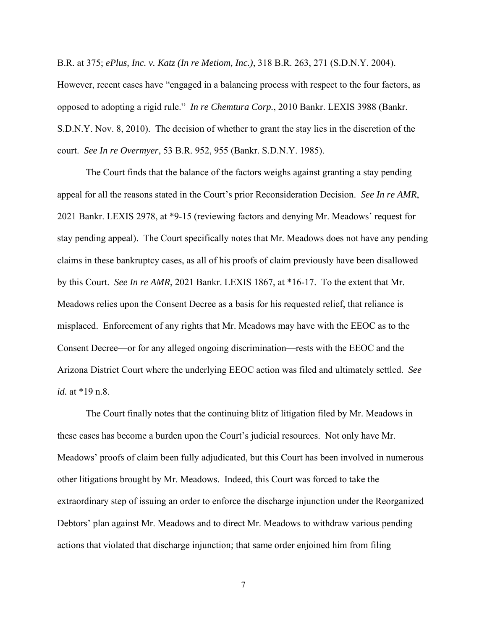B.R. at 375; *ePlus, Inc. v. Katz (In re Metiom, Inc.)*, 318 B.R. 263, 271 (S.D.N.Y. 2004).

However, recent cases have "engaged in a balancing process with respect to the four factors, as opposed to adopting a rigid rule." *In re Chemtura Corp.*, 2010 Bankr. LEXIS 3988 (Bankr. S.D.N.Y. Nov. 8, 2010). The decision of whether to grant the stay lies in the discretion of the court. *See In re Overmyer*, 53 B.R. 952, 955 (Bankr. S.D.N.Y. 1985).

The Court finds that the balance of the factors weighs against granting a stay pending appeal for all the reasons stated in the Court's prior Reconsideration Decision. *See In re AMR*, 2021 Bankr. LEXIS 2978, at \*9-15 (reviewing factors and denying Mr. Meadows' request for stay pending appeal). The Court specifically notes that Mr. Meadows does not have any pending claims in these bankruptcy cases, as all of his proofs of claim previously have been disallowed by this Court. *See In re AMR*, 2021 Bankr. LEXIS 1867, at \*16-17. To the extent that Mr. Meadows relies upon the Consent Decree as a basis for his requested relief, that reliance is misplaced. Enforcement of any rights that Mr. Meadows may have with the EEOC as to the Consent Decree—or for any alleged ongoing discrimination—rests with the EEOC and the Arizona District Court where the underlying EEOC action was filed and ultimately settled. *See id.* at \*19 n.8.

The Court finally notes that the continuing blitz of litigation filed by Mr. Meadows in these cases has become a burden upon the Court's judicial resources. Not only have Mr. Meadows' proofs of claim been fully adjudicated, but this Court has been involved in numerous other litigations brought by Mr. Meadows. Indeed, this Court was forced to take the extraordinary step of issuing an order to enforce the discharge injunction under the Reorganized Debtors' plan against Mr. Meadows and to direct Mr. Meadows to withdraw various pending actions that violated that discharge injunction; that same order enjoined him from filing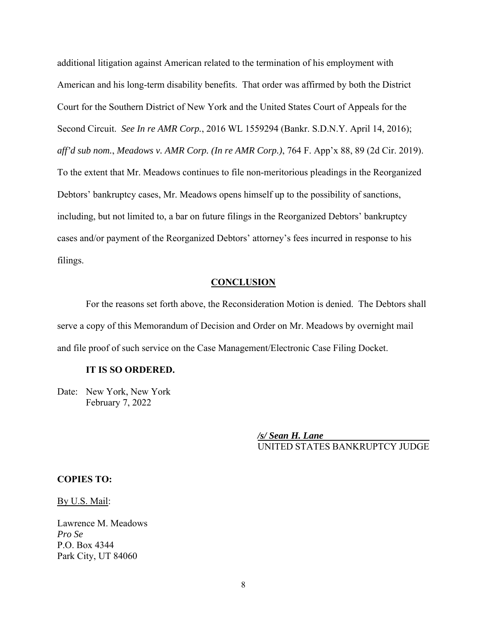additional litigation against American related to the termination of his employment with American and his long-term disability benefits. That order was affirmed by both the District Court for the Southern District of New York and the United States Court of Appeals for the Second Circuit. *See In re AMR Corp.*, 2016 WL 1559294 (Bankr. S.D.N.Y. April 14, 2016); *aff'd sub nom.*, *Meadows v. AMR Corp. (In re AMR Corp.)*, 764 F. App'x 88, 89 (2d Cir. 2019). To the extent that Mr. Meadows continues to file non-meritorious pleadings in the Reorganized Debtors' bankruptcy cases, Mr. Meadows opens himself up to the possibility of sanctions, including, but not limited to, a bar on future filings in the Reorganized Debtors' bankruptcy cases and/or payment of the Reorganized Debtors' attorney's fees incurred in response to his filings.

## **CONCLUSION**

For the reasons set forth above, the Reconsideration Motion is denied. The Debtors shall serve a copy of this Memorandum of Decision and Order on Mr. Meadows by overnight mail and file proof of such service on the Case Management/Electronic Case Filing Docket.

### **IT IS SO ORDERED.**

Date: New York, New York February 7, 2022

> */s/ Sean H. Lane*  UNITED STATES BANKRUPTCY JUDGE

## **COPIES TO:**

By U.S. Mail:

Lawrence M. Meadows *Pro Se*  P.O. Box 4344 Park City, UT 84060